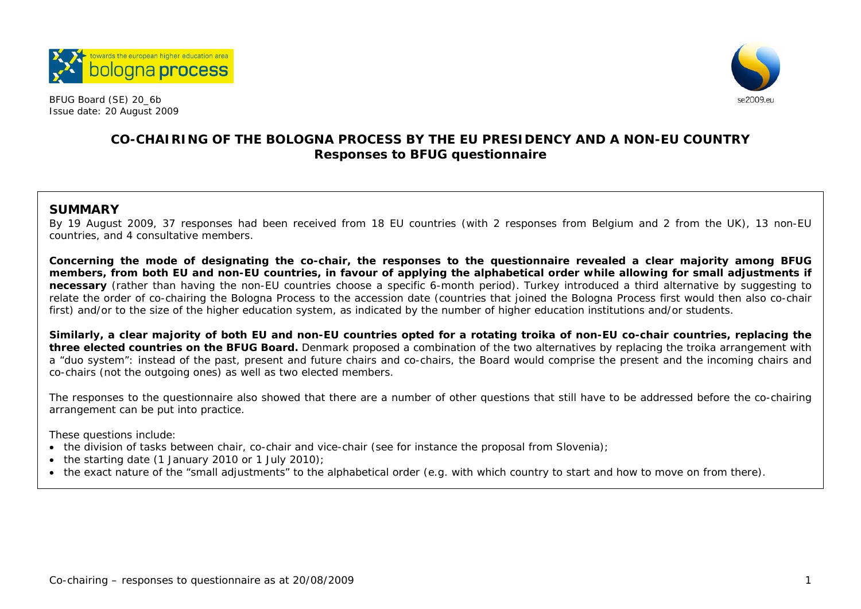



# **CO-CHAIRING OF THE BOLOGNA PROCESS BY THE EU PRESIDENCY AND A NON-EU COUNTRY Responses to BFUG questionnaire**

# **SUMMARY**

By 19 August 2009, 37 responses had been received from 18 EU countries (with 2 responses from Belgium and 2 from the UK), 13 non-EU countries, and 4 consultative members.

**Concerning the mode of designating the co-chair, the responses to the questionnaire revealed a clear majority among BFUG members, from both EU and non-EU countries, in favour of applying the alphabetical order while allowing for small adjustments if necessary** (rather than having the non-EU countries choose a specific 6-month period). Turkey introduced a third alternative by suggesting to relate the order of co-chairing the Bologna Process to the accession date (countries that joined the Bologna Process first would then also co-chair first) and/or to the size of the higher education system, as indicated by the number of higher education institutions and/or students.

**Similarly, a clear majority of both EU and non-EU countries opted for a rotating troika of non-EU co-chair countries, replacing the three elected countries on the BFUG Board.** Denmark proposed a combination of the two alternatives by replacing the troika arrangement with a "duo system": instead of the past, present and future chairs and co-chairs, the Board would comprise the present and the incoming chairs and co-chairs (not the outgoing ones) as well as two elected members.

The responses to the questionnaire also showed that there are a number of other questions that still have to be addressed before the co-chairing arrangement can be put into practice.

These questions include:

- the division of tasks between chair, co-chair and vice-chair (see for instance the proposal from Slovenia);
- the starting date (1 January 2010 or 1 July 2010);
- the exact nature of the "small adjustments" to the alphabetical order (e.g. with which country to start and how to move on from there).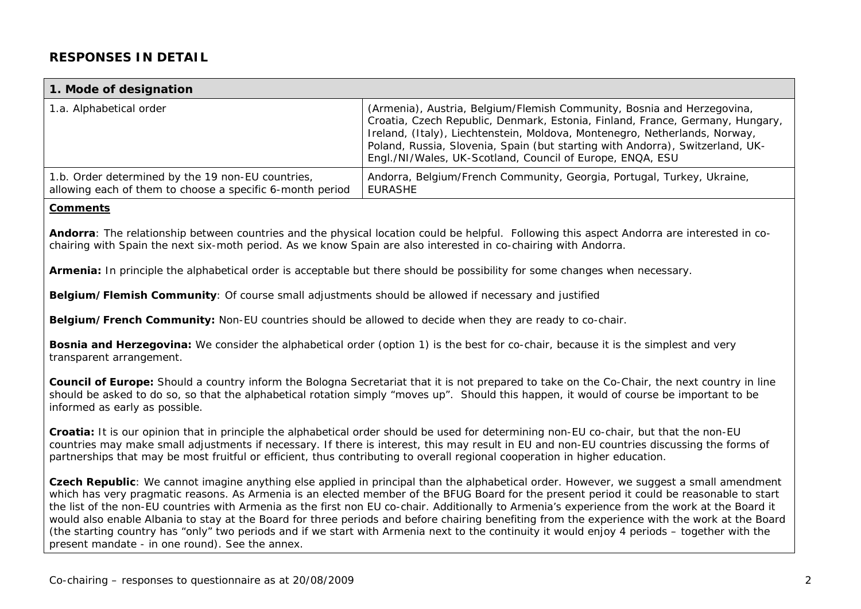# **RESPONSES IN DETAIL**

#### **1. Mode of designation**  1.a. Alphabetical order (Armenia), Austria, Belgium/Flemish Community, Bosnia and Herzegovina, Croatia, Czech Republic, Denmark, Estonia, Finland, France, Germany, Hungary, Ireland, (Italy), Liechtenstein, Moldova, Montenegro, Netherlands, Norway, Poland, Russia, Slovenia, Spain (but starting with Andorra), Switzerland, UK-Engl./NI/Wales, UK-Scotland, Council of Europe, ENQA, ESU 1.b. Order determined by the 19 non-EU countries, allowing each of them to choose a specific 6-month period Andorra, Belgium/French Community, Georgia, Portugal, Turkey, Ukraine, EURASHE

#### **Comments**

**Andorra**: The relationship between countries and the physical location could be helpful. Following this aspect Andorra are interested in cochairing with Spain the next six-moth period. As we know Spain are also interested in co-chairing with Andorra.

**Armenia:** In principle the alphabetical order is acceptable but there should be possibility for some changes when necessary.

**Belgium/Flemish Community**: Of course small adjustments should be allowed if necessary and justified

**Belgium/French Community:** Non-EU countries should be allowed to decide when they are ready to co-chair.

**Bosnia and Herzegovina:** We consider the alphabetical order (option 1) is the best for co-chair, because it is the simplest and very transparent arrangement.

**Council of Europe:** Should a country inform the Bologna Secretariat that it is not prepared to take on the Co-Chair, the next country in line should be asked to do so, so that the alphabetical rotation simply "moves up". Should this happen, it would of course be important to be informed as early as possible.

**Croatia:** It is our opinion that in principle the alphabetical order should be used for determining non-EU co-chair, but that the non-EU countries may make small adjustments if necessary. If there is interest, this may result in EU and non-EU countries discussing the forms of partnerships that may be most fruitful or efficient, thus contributing to overall regional cooperation in higher education.

**Czech Republic**: We cannot imagine anything else applied in principal than the alphabetical order. However, we suggest a small amendment which has very pragmatic reasons. As Armenia is an elected member of the BFUG Board for the present period it could be reasonable to start the list of the non-EU countries with Armenia as the first non EU co-chair. Additionally to Armenia's experience from the work at the Board it would also enable Albania to stay at the Board for three periods and before chairing benefiting from the experience with the work at the Board (the starting country has "only" two periods and if we start with Armenia next to the continuity it would enjoy 4 periods – together with the present mandate - in one round). See the annex.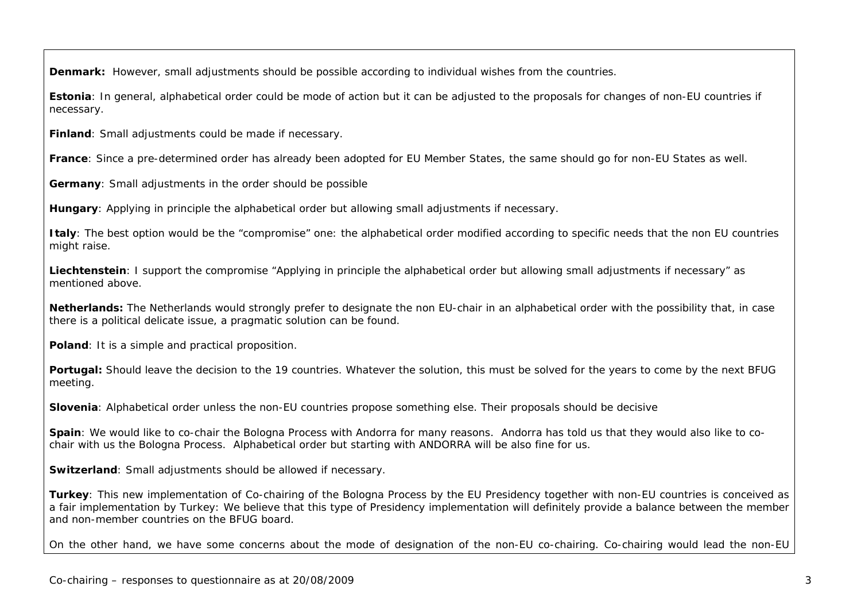**Denmark:** However, small adjustments should be possible according to individual wishes from the countries.

**Estonia**: In general, alphabetical order could be mode of action but it can be adjusted to the proposals for changes of non-EU countries if necessary.

**Finland**: Small adjustments could be made if necessary.

**France**: Since a pre-determined order has already been adopted for EU Member States, the same should go for non-EU States as well.

**Germany**: Small adjustments in the order should be possible

**Hungary**: Applying in principle the alphabetical order but allowing small adjustments if necessary.

**Italy**: The best option would be the "compromise" one: the alphabetical order modified according to specific needs that the non EU countries might raise.

**Liechtenstein**: I support the compromise "Applying in principle the alphabetical order but allowing small adjustments if necessary" as mentioned above.

**Netherlands:** The Netherlands would strongly prefer to designate the non EU-chair in an alphabetical order with the possibility that, in case there is a political delicate issue, a pragmatic solution can be found.

**Poland**: It is a simple and practical proposition.

**Portugal:** Should leave the decision to the 19 countries. Whatever the solution, this must be solved for the years to come by the next BFUG meeting.

**Slovenia**: Alphabetical order unless the non-EU countries propose something else. Their proposals should be decisive

**Spain**: We would like to co-chair the Bologna Process with Andorra for many reasons. Andorra has told us that they would also like to cochair with us the Bologna Process. Alphabetical order but starting with ANDORRA will be also fine for us.

**Switzerland**: Small adjustments should be allowed if necessary.

**Turkey**: This new implementation of Co-chairing of the Bologna Process by the EU Presidency together with non-EU countries is conceived as a fair implementation by Turkey: We believe that this type of Presidency implementation will definitely provide a balance between the member and non-member countries on the BFUG board.

On the other hand, we have some concerns about the mode of designation of the non-EU co-chairing. Co-chairing would lead the non-EU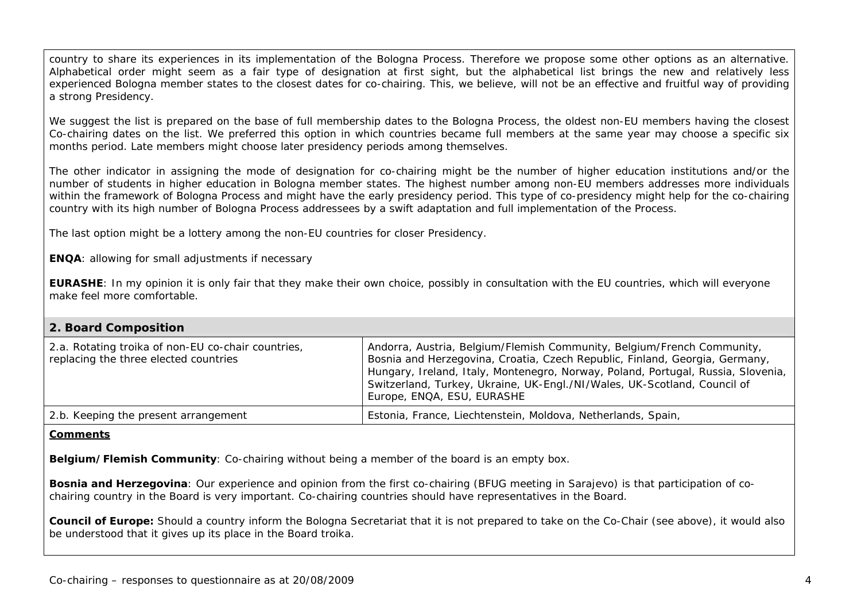country to share its experiences in its implementation of the Bologna Process. Therefore we propose some other options as an alternative. Alphabetical order might seem as a fair type of designation at first sight, but the alphabetical list brings the new and relatively less experienced Bologna member states to the closest dates for co-chairing. This, we believe, will not be an effective and fruitful way of providing a strong Presidency.

We suggest the list is prepared on the base of full membership dates to the Bologna Process, the oldest non-EU members having the closest Co-chairing dates on the list. We preferred this option in which countries became full members at the same year may choose a specific six months period. Late members might choose later presidency periods among themselves.

The other indicator in assigning the mode of designation for co-chairing might be the number of higher education institutions and/or the number of students in higher education in Bologna member states. The highest number among non-EU members addresses more individuals within the framework of Bologna Process and might have the early presidency period. This type of co-presidency might help for the co-chairing country with its high number of Bologna Process addressees by a swift adaptation and full implementation of the Process.

The last option might be a lottery among the non-EU countries for closer Presidency.

**ENQA**: allowing for small adjustments if necessary

**EURASHE**: In my opinion it is only fair that they make their own choice, possibly in consultation with the EU countries, which will everyone make feel more comfortable.

# **2. Board Composition**

| 2.a. Rotating troika of non-EU co-chair countries,<br>replacing the three elected countries | Andorra, Austria, Belgium/Flemish Community, Belgium/French Community,<br>Bosnia and Herzegovina, Croatia, Czech Republic, Finland, Georgia, Germany,<br>Hungary, Ireland, Italy, Montenegro, Norway, Poland, Portugal, Russia, Slovenia,<br>Switzerland, Turkey, Ukraine, UK-Engl./NI/Wales, UK-Scotland, Council of<br>Europe, ENQA, ESU, EURASHE |
|---------------------------------------------------------------------------------------------|-----------------------------------------------------------------------------------------------------------------------------------------------------------------------------------------------------------------------------------------------------------------------------------------------------------------------------------------------------|
| 2.b. Keeping the present arrangement                                                        | Estonia, France, Liechtenstein, Moldova, Netherlands, Spain,                                                                                                                                                                                                                                                                                        |

#### **Comments**

**Belgium/Flemish Community**: Co-chairing without being a member of the board is an empty box.

**Bosnia and Herzegovina**: Our experience and opinion from the first co-chairing (BFUG meeting in Sarajevo) is that participation of cochairing country in the Board is very important. Co-chairing countries should have representatives in the Board.

**Council of Europe:** Should a country inform the Bologna Secretariat that it is not prepared to take on the Co-Chair (see above), it would also be understood that it gives up its place in the Board troika.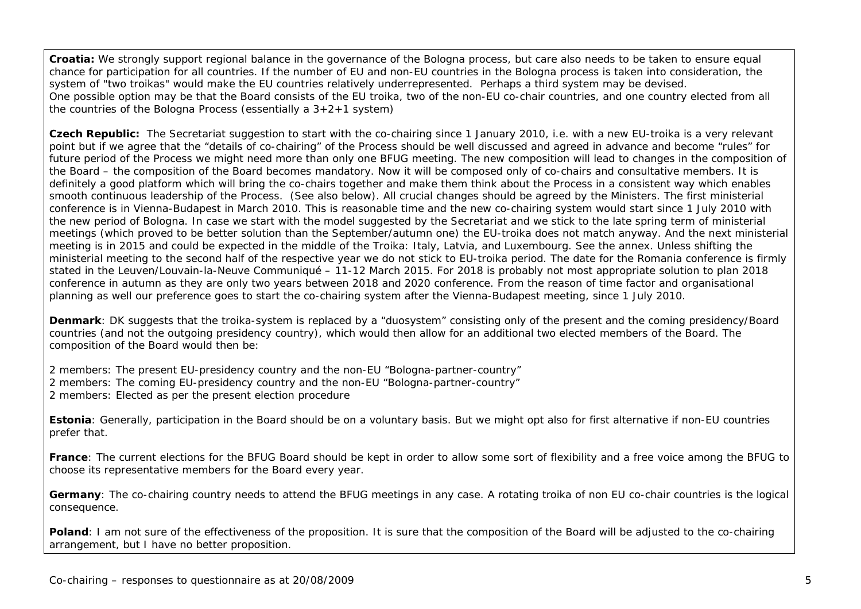**Croatia:** We strongly support regional balance in the governance of the Bologna process, but care also needs to be taken to ensure equal chance for participation for all countries. If the number of EU and non-EU countries in the Bologna process is taken into consideration, the system of "two troikas" would make the EU countries relatively underrepresented. Perhaps a third system may be devised. One possible option may be that the Board consists of the EU troika, two of the non-EU co-chair countries, and one country elected from all the countries of the Bologna Process (essentially a 3+2+1 system)

**Czech Republic:** The Secretariat suggestion to start with the co-chairing since 1 January 2010, i.e. with a new EU-troika is a very relevant point but if we agree that the "details of co-chairing" of the Process should be well discussed and agreed in advance and become "rules" for future period of the Process we might need more than only one BFUG meeting. The new composition will lead to changes in the composition of the Board – the composition of the Board becomes mandatory. Now it will be composed only of co-chairs and consultative members. It is definitely a good platform which will bring the co-chairs together and make them think about the Process in a consistent way which enables smooth continuous leadership of the Process. (See also below). All crucial changes should be agreed by the Ministers. The first ministerial conference is in Vienna-Budapest in March 2010. This is reasonable time and the new co-chairing system would start since 1 July 2010 with the new period of Bologna. In case we start with the model suggested by the Secretariat and we stick to the late spring term of ministerial meetings (which proved to be better solution than the September/autumn one) the EU-troika does not match anyway. And the next ministerial meeting is in 2015 and could be expected in the middle of the Troika: Italy, Latvia, and Luxembourg. See the annex. Unless shifting the ministerial meeting to the second half of the respective year we do not stick to EU-troika period. The date for the Romania conference is firmly stated in the Leuven/Louvain-la-Neuve Communiqué – 11-12 March 2015. For 2018 is probably not most appropriate solution to plan 2018 conference in autumn as they are only two years between 2018 and 2020 conference. From the reason of time factor and organisational planning as well our preference goes to start the co-chairing system after the Vienna-Budapest meeting, since 1 July 2010.

**Denmark**: DK suggests that the troika-system is replaced by a "duosystem" consisting only of the present and the coming presidency/Board countries (and not the outgoing presidency country), which would then allow for an additional two elected members of the Board. The composition of the Board would then be:

2 members: The present EU-presidency country and the non-EU "Bologna-partner-country" 2 members: The coming EU-presidency country and the non-EU "Bologna-partner-country" 2 members: Elected as per the present election procedure

**Estonia**: Generally, participation in the Board should be on a voluntary basis. But we might opt also for first alternative if non-EU countries prefer that.

**France**: The current elections for the BFUG Board should be kept in order to allow some sort of flexibility and a free voice among the BFUG to choose its representative members for the Board every year.

**Germany**: The co-chairing country needs to attend the BFUG meetings in any case. A rotating troika of non EU co-chair countries is the logical consequence.

**Poland**: I am not sure of the effectiveness of the proposition. It is sure that the composition of the Board will be adjusted to the co-chairing arrangement, but I have no better proposition.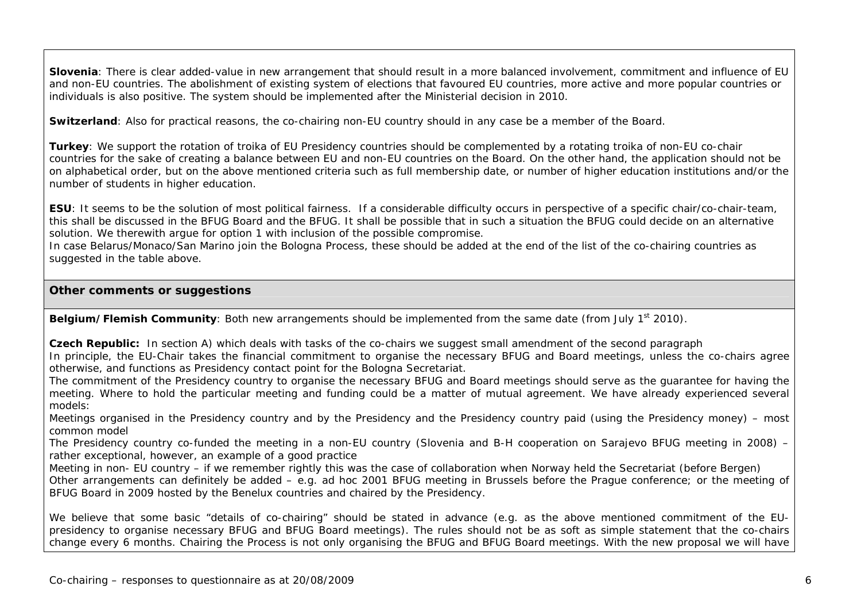**Slovenia**: There is clear added-value in new arrangement that should result in a more balanced involvement, commitment and influence of EU and non-EU countries. The abolishment of existing system of elections that favoured EU countries, more active and more popular countries or individuals is also positive. The system should be implemented after the Ministerial decision in 2010.

**Switzerland**: Also for practical reasons, the co-chairing non-EU country should in any case be a member of the Board.

**Turkey**: We support the rotation of troika of EU Presidency countries should be complemented by a rotating troika of non-EU co-chair countries for the sake of creating a balance between EU and non-EU countries on the Board. On the other hand, the application should not be on alphabetical order, but on the above mentioned criteria such as full membership date, or number of higher education institutions and/or the number of students in higher education.

**ESU**: It seems to be the solution of most political fairness. If a considerable difficulty occurs in perspective of a specific chair/co-chair-team, this shall be discussed in the BFUG Board and the BFUG. It shall be possible that in such a situation the BFUG could decide on an alternative solution. We therewith argue for option 1 with inclusion of the possible compromise.

In case Belarus/Monaco/San Marino join the Bologna Process, these should be added at the end of the list of the co-chairing countries as suggested in the table above.

### **Other comments or suggestions**

**Belgium/Flemish Community**: Both new arrangements should be implemented from the same date (from July 1<sup>st</sup> 2010).

**Czech Republic:** In section A) which deals with tasks of the co-chairs we suggest small amendment of the second paragraph In principle, the EU-Chair takes the financial commitment to organise the necessary BFUG and Board meetings, unless the co-chairs agree otherwise, and functions as Presidency contact point for the Bologna Secretariat.

The commitment of the Presidency country to organise the necessary BFUG and Board meetings should serve as the guarantee for having the meeting. Where to hold the particular meeting and funding could be a matter of mutual agreement. We have already experienced several models:

Meetings organised in the Presidency country and by the Presidency and the Presidency country paid (using the Presidency money) – most common model

The Presidency country co-funded the meeting in a non-EU country (Slovenia and B-H cooperation on Sarajevo BFUG meeting in 2008) – rather exceptional, however, an example of a good practice

Meeting in non- EU country – if we remember rightly this was the case of collaboration when Norway held the Secretariat (before Bergen) Other arrangements can definitely be added – e.g. ad hoc 2001 BFUG meeting in Brussels before the Prague conference; or the meeting of BFUG Board in 2009 hosted by the Benelux countries and chaired by the Presidency.

We believe that some basic "details of co-chairing" should be stated in advance (e.g. as the above mentioned commitment of the EUpresidency to organise necessary BFUG and BFUG Board meetings). The rules should not be as soft as simple statement that the co-chairs change every 6 months. Chairing the Process is not only organising the BFUG and BFUG Board meetings. With the new proposal we will have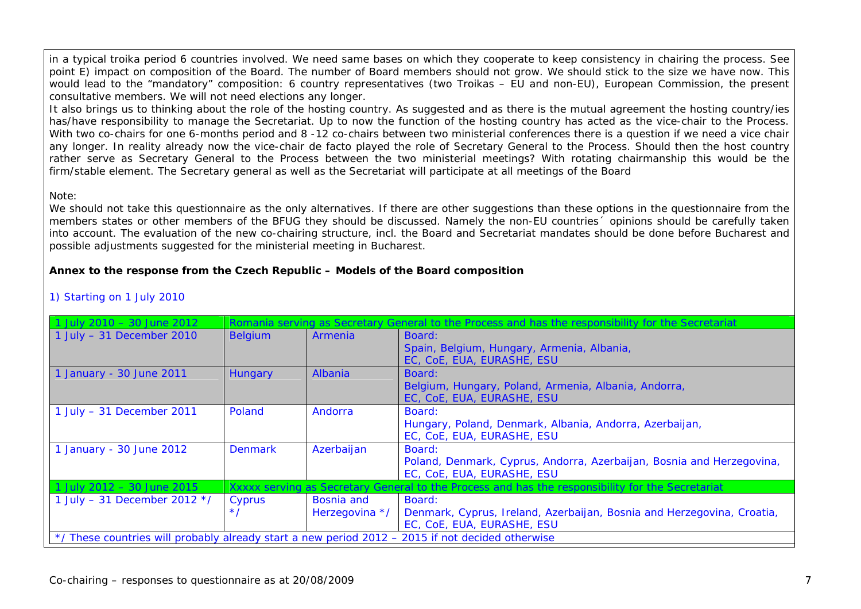in a typical troika period 6 countries involved. We need same bases on which they cooperate to keep consistency in chairing the process. See point E) impact on composition of the Board. The number of Board members should not grow. We should stick to the size we have now. This would lead to the "mandatory" composition: 6 country representatives (two Troikas – EU and non-EU), European Commission, the present consultative members. We will not need elections any longer.

It also brings us to thinking about the role of the hosting country. As suggested and as there is the mutual agreement the hosting country/ies has/have responsibility to manage the Secretariat. Up to now the function of the hosting country has acted as the vice-chair to the Process. With two co-chairs for one 6-months period and 8-12 co-chairs between two ministerial conferences there is a question if we need a vice chair any longer. In reality already now the vice-chair de facto played the role of Secretary General to the Process. Should then the host country rather serve as Secretary General to the Process between the two ministerial meetings? With rotating chairmanship this would be the firm/stable element. The Secretary general as well as the Secretariat will participate at all meetings of the Board

#### Note:

We should not take this questionnaire as the only alternatives. If there are other suggestions than these options in the questionnaire from the members states or other members of the BFUG they should be discussed. Namely the non-EU countries´ opinions should be carefully taken into account. The evaluation of the new co-chairing structure, incl. the Board and Secretariat mandates should be done before Bucharest and possible adjustments suggested for the ministerial meeting in Bucharest.

### **Annex to the response from the Czech Republic – Models of the Board composition**

| 1 July 2010 - 30 June 2012                                                                       |                |                   | Romania serving as Secretary General to the Process and has the responsibility for the Secretariat |  |
|--------------------------------------------------------------------------------------------------|----------------|-------------------|----------------------------------------------------------------------------------------------------|--|
| 1 July $-31$ December 2010                                                                       | <b>Belgium</b> | Armenia           | Board:                                                                                             |  |
|                                                                                                  |                |                   | Spain, Belgium, Hungary, Armenia, Albania,                                                         |  |
|                                                                                                  |                |                   | EC, CoE, EUA, EURASHE, ESU                                                                         |  |
| 1 January - 30 June 2011                                                                         | Hungary        | Albania           | Board:                                                                                             |  |
|                                                                                                  |                |                   | Belgium, Hungary, Poland, Armenia, Albania, Andorra,                                               |  |
|                                                                                                  |                |                   | EC, CoE, EUA, EURASHE, ESU                                                                         |  |
| $1$ July - 31 December 2011                                                                      | <b>Poland</b>  | Andorra           | Board:                                                                                             |  |
|                                                                                                  |                |                   | Hungary, Poland, Denmark, Albania, Andorra, Azerbaijan,                                            |  |
|                                                                                                  |                |                   | EC, CoE, EUA, EURASHE, ESU                                                                         |  |
| 1 January - 30 June 2012                                                                         | <b>Denmark</b> | Azerbaijan        | Board:                                                                                             |  |
|                                                                                                  |                |                   | Poland, Denmark, Cyprus, Andorra, Azerbaijan, Bosnia and Herzegovina,                              |  |
|                                                                                                  |                |                   | EC, CoE, EUA, EURASHE, ESU                                                                         |  |
| 1 July 2012 - 30 June 2015                                                                       |                |                   | Xxxxx serving as Secretary General to the Process and has the responsibility for the Secretariat   |  |
| 1 July - 31 December 2012 $*/$                                                                   | Cyprus         | <b>Bosnia</b> and | Board:                                                                                             |  |
|                                                                                                  | $\star$        | Herzegovina */    | Denmark, Cyprus, Ireland, Azerbaijan, Bosnia and Herzegovina, Croatia,                             |  |
|                                                                                                  |                |                   | EC, CoE, EUA, EURASHE, ESU                                                                         |  |
| */ These countries will probably already start a new period 2012 – 2015 if not decided otherwise |                |                   |                                                                                                    |  |

### 1) Starting on 1 July 2010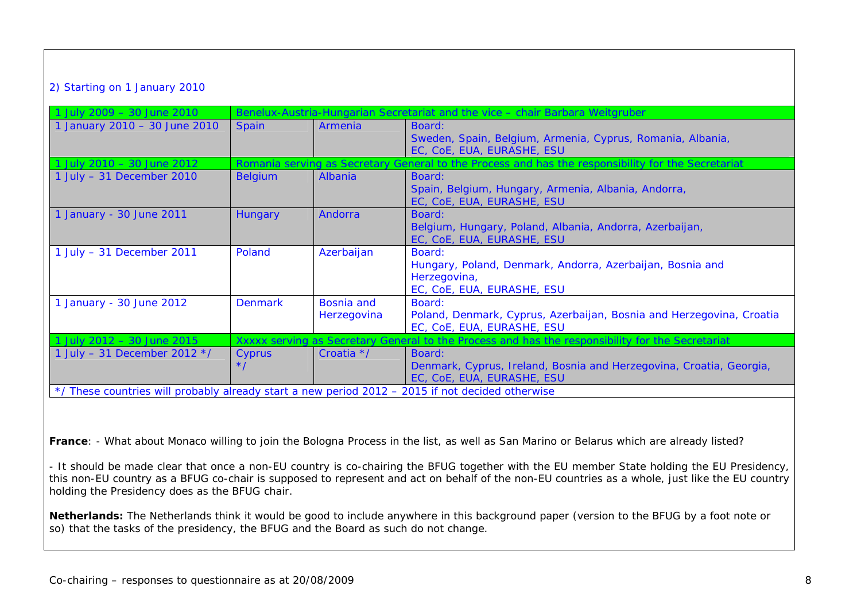## 2) Starting on 1 January 2010

| 1 July 2009 - 30 June 2010                                                                       |                    |                           | Benelux-Austria-Hungarian Secretariat and the vice - chair Barbara Weitgruber                                     |  |
|--------------------------------------------------------------------------------------------------|--------------------|---------------------------|-------------------------------------------------------------------------------------------------------------------|--|
| 1 January 2010 - 30 June 2010                                                                    | <b>Spain</b>       | Armenia                   | Board:<br>Sweden, Spain, Belgium, Armenia, Cyprus, Romania, Albania,<br>EC, CoE, EUA, EURASHE, ESU                |  |
| 1 July 2010 - 30 June 2012                                                                       |                    |                           | Romania serving as Secretary General to the Process and has the responsibility for the Secretariat                |  |
| 1 July $-31$ December 2010                                                                       | <b>Belgium</b>     | Albania                   | Board:<br>Spain, Belgium, Hungary, Armenia, Albania, Andorra,<br>EC, CoE, EUA, EURASHE, ESU                       |  |
| 1 January - 30 June 2011                                                                         | <b>Hungary</b>     | Andorra                   | Board:<br>Belgium, Hungary, Poland, Albania, Andorra, Azerbaijan,<br>EC, CoE, EUA, EURASHE, ESU                   |  |
| 1 July $-$ 31 December 2011                                                                      | Poland             | Azerbaijan                | Board:<br>Hungary, Poland, Denmark, Andorra, Azerbaijan, Bosnia and<br>Herzegovina,<br>EC, CoE, EUA, EURASHE, ESU |  |
| 1 January - 30 June 2012                                                                         | <b>Denmark</b>     | Bosnia and<br>Herzegovina | Board:<br>Poland, Denmark, Cyprus, Azerbaijan, Bosnia and Herzegovina, Croatia<br>EC, CoE, EUA, EURASHE, ESU      |  |
| 1 July 2012 - 30 June 2015                                                                       |                    |                           | Xxxxx serving as Secretary General to the Process and has the responsibility for the Secretariat                  |  |
| 1 July - 31 December 2012 $*/$                                                                   | Cyprus<br>$\star/$ | Croatia */                | Board:<br>Denmark, Cyprus, Ireland, Bosnia and Herzegovina, Croatia, Georgia,<br>EC, COE, EUA, EURASHE, ESU       |  |
| */ These countries will probably already start a new period 2012 - 2015 if not decided otherwise |                    |                           |                                                                                                                   |  |

**France**: - What about Monaco willing to join the Bologna Process in the list, as well as San Marino or Belarus which are already listed?

- It should be made clear that once a non-EU country is co-chairing the BFUG together with the EU member State holding the EU Presidency, this non-EU country as a BFUG co-chair is supposed to represent and act on behalf of the non-EU countries as a whole, just like the EU country holding the Presidency does as the BFUG chair.

**Netherlands:** The Netherlands think it would be good to include anywhere in this background paper (version to the BFUG by a foot note or so) that the tasks of the presidency, the BFUG and the Board as such do not change.